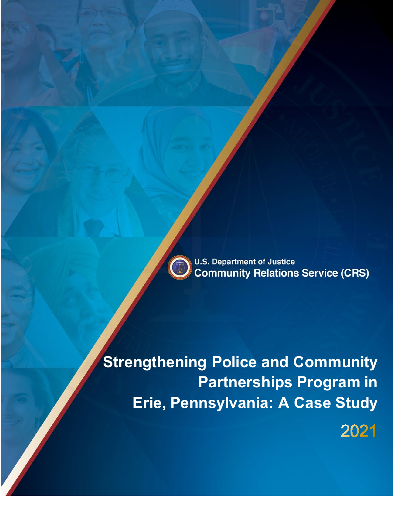

2021

**Strengthening Police and Community Partnerships Program in Erie, Pennsylvania: A Case Study**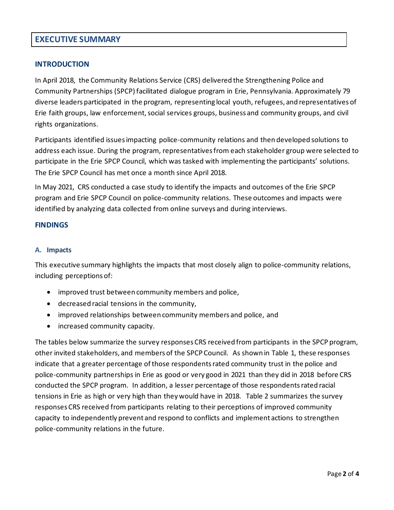# **EXECUTIVE SUMMARY**

## **INTRODUCTION**

In April 2018, the Community Relations Service (CRS) delivered the Strengthening Police and Community Partnerships (SPCP) facilitated dialogue program in Erie, Pennsylvania. Approximately 79 diverse leaders participated in the program, representing local youth, refugees, and representatives of Erie faith groups, law enforcement, social services groups, business and community groups, and civil rights organizations.

Participants identified issues impacting police-community relations and then developed solutions to address each issue. During the program, representatives from each stakeholder group were selected to participate in the Erie SPCP Council, which was tasked with implementing the participants' solutions. The Erie SPCP Council has met once a month since April 2018.

In May 2021, CRS conducted a case study to identify the impacts and outcomes of the Erie SPCP program and Erie SPCP Council on police-community relations. These outcomes and impacts were identified by analyzing data collected from online surveys and during interviews.

#### **FINDINGS**

#### **A. Impacts**

This executive summary highlights the impacts that most closely align to police-community relations, including perceptions of:

- improved trust between community members and police,
- decreased racial tensions in the community,
- improved relationships between community members and police, and
- increased community capacity.

The tables below summarize the survey responses CRS received from participants in the SPCP program, other invited stakeholders, and members of the SPCP Council. As shown in Table 1, these responses indicate that a greater percentage of those respondents rated community trust in the police and police-community partnerships in Erie as good or very good in 2021 than they did in 2018 before CRS conducted the SPCP program. In addition, a lesser percentage of those respondents rated racial tensions in Erie as high or very high than they would have in 2018. Table 2 summarizes the survey responses CRS received from participants relating to their perceptions of improved community capacity to independently prevent and respond to conflicts and implement actions to strengthen police-community relations in the future.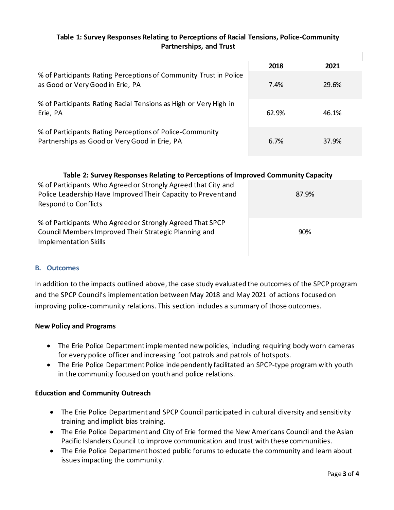## **Table 1: Survey Responses Relating to Perceptions of Racial Tensions, Police-Community Partnerships, and Trust**

|                                                                                                           | 2018  | 2021  |
|-----------------------------------------------------------------------------------------------------------|-------|-------|
| % of Participants Rating Perceptions of Community Trust in Police<br>as Good or Very Good in Erie, PA     | 7.4%  | 29.6% |
| % of Participants Rating Racial Tensions as High or Very High in<br>Erie, PA                              | 62.9% | 46.1% |
| % of Participants Rating Perceptions of Police-Community<br>Partnerships as Good or Very Good in Erie, PA | 6.7%  | 37.9% |

### **Table 2: Survey Responses Relating to Perceptions of Improved Community Capacity**

| % of Participants Who Agreed or Strongly Agreed that City and<br>Police Leadership Have Improved Their Capacity to Prevent and<br><b>Respond to Conflicts</b> | 87.9% |
|---------------------------------------------------------------------------------------------------------------------------------------------------------------|-------|
| % of Participants Who Agreed or Strongly Agreed That SPCP<br>Council Members Improved Their Strategic Planning and<br><b>Implementation Skills</b>            | 90%   |

## **B. Outcomes**

In addition to the impacts outlined above, the case study evaluated the outcomes of the SPCP program and the SPCP Council's implementation between May 2018 and May 2021 of actions focused on improving police-community relations. This section includes a summary of those outcomes.

#### **New Policy and Programs**

- The Erie Police Department implemented new policies, including requiring body worn cameras for every police officer and increasing foot patrols and patrols of hotspots.
- The Erie Police Department Police independently facilitated an SPCP-type program with youth in the community focused on youth and police relations.

## **Education and Community Outreach**

- The Erie Police Department and SPCP Council participated in cultural diversity and sensitivity training and implicit bias training.
- The Erie Police Department and City of Erie formed the New Americans Council and the Asian Pacific Islanders Council to improve communication and trust with these communities.
- The Erie Police Department hosted public forums to educate the community and learn about issues impacting the community.